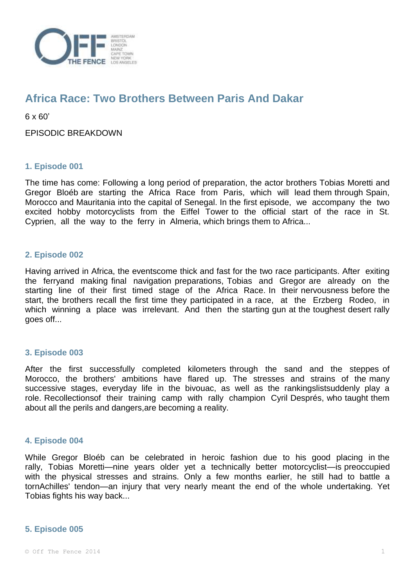

# **Africa Race: Two Brothers Between Paris And Dakar**

6 x 60'

EPISODIC BREAKDOWN

## **1. Episode 001**

The time has come: Following a long period of preparation, the actor brothers Tobias Moretti and Gregor Bloéb are starting the Africa Race from Paris, which will lead them through Spain, Morocco and Mauritania into the capital of Senegal. In the first episode, we accompany the two excited hobby motorcyclists from the Eiffel Tower to the official start of the race in St. Cyprien, all the way to the ferry in Almeria, which brings them to Africa...

## **2. Episode 002**

Having arrived in Africa, the eventscome thick and fast for the two race participants. After exiting the ferryand making final navigation preparations, Tobias and Gregor are already on the starting line of their first timed stage of the Africa Race. In their nervousness before the start, the brothers recall the first time they participated in a race, at the Erzberg Rodeo, in which winning a place was irrelevant. And then the starting gun at the toughest desert rally goes off...

## **3. Episode 003**

After the first successfully completed kilometers through the sand and the steppes of Morocco, the brothers' ambitions have flared up. The stresses and strains of the many successive stages, everyday life in the bivouac, as well as the rankingslistsuddenly play a role. Recollectionsof their training camp with rally champion Cyril Després, who taught them about all the perils and dangers,are becoming a reality.

#### **4. Episode 004**

While Gregor Bloéb can be celebrated in heroic fashion due to his good placing in the rally, Tobias Moretti—nine years older yet a technically better motorcyclist—is preoccupied with the physical stresses and strains. Only a few months earlier, he still had to battle a tornAchilles' tendon—an injury that very nearly meant the end of the whole undertaking. Yet Tobias fights his way back...

#### **5. Episode 005**